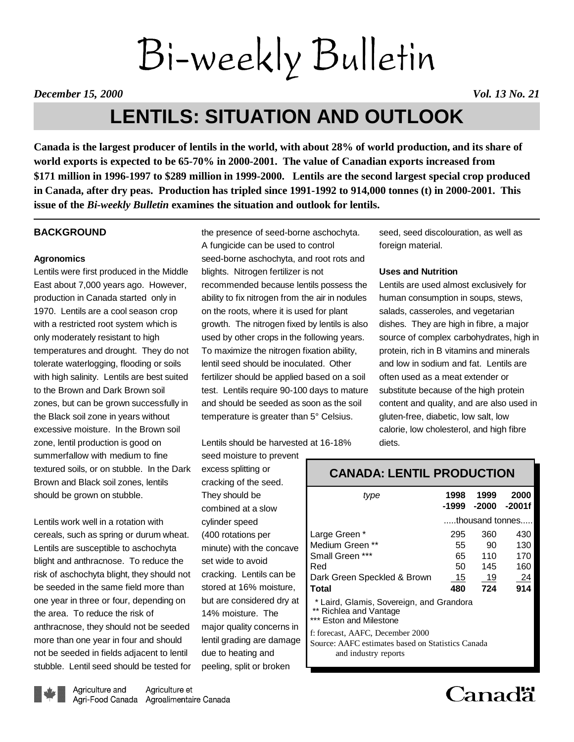# Bi-weekly Bulletin

*December 15, 2000 Vol. 13 No. 21*

# **LENTILS: SITUATION AND OUTLOOK**

**Canada is the largest producer of lentils in the world, with about 28% of world production, and its share of world exports is expected to be 65-70% in 2000-2001. The value of Canadian exports increased from \$171 million in 1996-1997 to \$289 million in 1999-2000. Lentils are the second largest special crop produced in Canada, after dry peas. Production has tripled since 1991-1992 to 914,000 tonnes (t) in 2000-2001. This issue of the** *Bi-weekly Bulletin* **examines the situation and outlook for lentils.**

# **BACKGROUND**

# **Agronomics**

Lentils were first produced in the Middle East about 7,000 years ago. However, production in Canada started only in 1970. Lentils are a cool season crop with a restricted root system which is only moderately resistant to high temperatures and drought. They do not tolerate waterlogging, flooding or soils with high salinity. Lentils are best suited to the Brown and Dark Brown soil zones, but can be grown successfully in the Black soil zone in years without excessive moisture. In the Brown soil zone, lentil production is good on summerfallow with medium to fine textured soils, or on stubble. In the Dark Brown and Black soil zones, lentils should be grown on stubble.

Lentils work well in a rotation with cereals, such as spring or durum wheat. Lentils are susceptible to aschochyta blight and anthracnose. To reduce the risk of aschochyta blight, they should not be seeded in the same field more than one year in three or four, depending on the area. To reduce the risk of anthracnose, they should not be seeded more than one year in four and should not be seeded in fields adjacent to lentil stubble. Lentil seed should be tested for

the presence of seed-borne aschochyta. A fungicide can be used to control seed-borne aschochyta, and root rots and blights. Nitrogen fertilizer is not recommended because lentils possess the ability to fix nitrogen from the air in nodules on the roots, where it is used for plant growth. The nitrogen fixed by lentils is also used by other crops in the following years. To maximize the nitrogen fixation ability, lentil seed should be inoculated. Other fertilizer should be applied based on a soil test. Lentils require 90-100 days to mature and should be seeded as soon as the soil temperature is greater than 5° Celsius.

Lentils should be harvested at 16-18%

seed moisture to prevent excess splitting or cracking of the seed. They should be combined at a slow cylinder speed (400 rotations per minute) with the concave set wide to avoid cracking. Lentils can be stored at 16% moisture, but are considered dry at 14% moisture. The major quality concerns in lentil grading are damage due to heating and peeling, split or broken

seed, seed discolouration, as well as foreign material.

# **Uses and Nutrition**

Lentils are used almost exclusively for human consumption in soups, stews, salads, casseroles, and vegetarian dishes. They are high in fibre, a major source of complex carbohydrates, high in protein, rich in B vitamins and minerals and low in sodium and fat. Lentils are often used as a meat extender or substitute because of the high protein content and quality, and are also used in gluten-free, diabetic, low salt, low calorie, low cholesterol, and high fibre diets.

| .                                                                                                             |                 |      |                         |  |  |
|---------------------------------------------------------------------------------------------------------------|-----------------|------|-------------------------|--|--|
| tvpe                                                                                                          | 1998<br>-1999   | 1999 | 2000<br>$-2000 - 2001f$ |  |  |
|                                                                                                               | thousand tonnes |      |                         |  |  |
| Large Green *                                                                                                 | 295             | 360  | 430                     |  |  |
| Medium Green **                                                                                               | 55              | 90   | 130                     |  |  |
| Small Green ***                                                                                               | 65              | 110  | 170                     |  |  |
| Red                                                                                                           | 50              | 145. | 160                     |  |  |
| Dark Green Speckled & Brown                                                                                   | 15              | 19   | 24                      |  |  |
| <b>Total</b>                                                                                                  | 480             | 724  | 914                     |  |  |
| * Laird, Glamis, Sovereign, and Grandora<br>** Richlea and Vantage<br>*** Eston and Milestone                 |                 |      |                         |  |  |
| f: forecast, AAFC, December 2000<br>Source: AAFC estimates based on Statistics Canada<br>and industry reports |                 |      |                         |  |  |

**CANADA: LENTIL PRODUCTION**



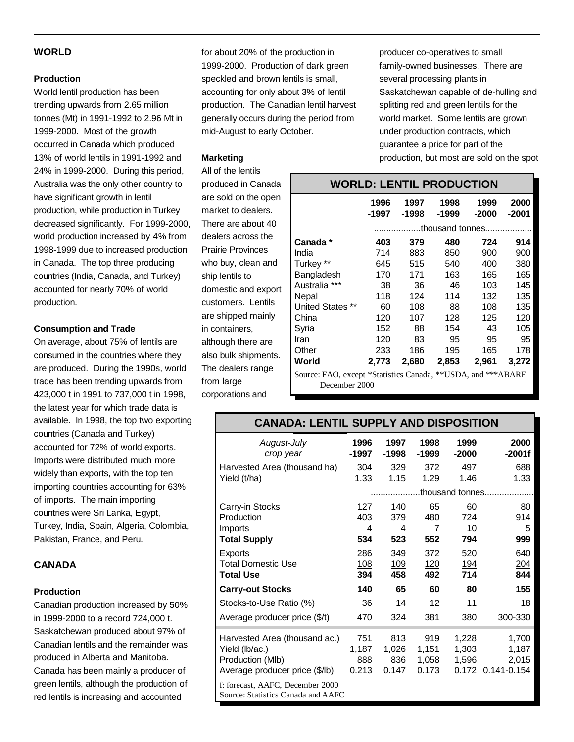# **WORLD**

# **Production**

World lentil production has been trending upwards from 2.65 million tonnes (Mt) in 1991-1992 to 2.96 Mt in 1999-2000. Most of the growth occurred in Canada which produced 13% of world lentils in 1991-1992 and 24% in 1999-2000. During this period, Australia was the only other country to have significant growth in lentil production, while production in Turkey decreased significantly. For 1999-2000, world production increased by 4% from 1998-1999 due to increased production in Canada. The top three producing countries (India, Canada, and Turkey) accounted for nearly 70% of world production.

# **Consumption and Trade**

On average, about 75% of lentils are consumed in the countries where they are produced. During the 1990s, world trade has been trending upwards from 423,000 t in 1991 to 737,000 t in 1998, the latest year for which trade data is available. In 1998, the top two exporting countries (Canada and Turkey) accounted for 72% of world exports. Imports were distributed much more widely than exports, with the top ten importing countries accounting for 63% of imports. The main importing countries were Sri Lanka, Egypt, Turkey, India, Spain, Algeria, Colombia, Pakistan, France, and Peru.

# **CANADA**

# **Production**

Canadian production increased by 50% in 1999-2000 to a record 724,000 t. Saskatchewan produced about 97% of Canadian lentils and the remainder was produced in Alberta and Manitoba. Canada has been mainly a producer of green lentils, although the production of red lentils is increasing and accounted

for about 20% of the production in 1999-2000. Production of dark green speckled and brown lentils is small, accounting for only about 3% of lentil production. The Canadian lentil harvest generally occurs during the period from mid-August to early October.

# **Marketing**

All of the lentils produced in Canada are sold on the open market to dealers. There are about 40 dealers across the Prairie Provinces who buy, clean and ship lentils to domestic and export customers. Lentils are shipped mainly in containers, although there are also bulk shipments. The dealers range from large corporations and

producer co-operatives to small family-owned businesses. There are several processing plants in Saskatchewan capable of de-hulling and splitting red and green lentils for the world market. Some lentils are grown under production contracts, which guarantee a price for part of the production, but most are sold on the spot

| <b>WORLD: LENTIL PRODUCTION</b>       |                                                                                                                           |               |                   |                 |                         |  |
|---------------------------------------|---------------------------------------------------------------------------------------------------------------------------|---------------|-------------------|-----------------|-------------------------|--|
|                                       | 1996<br>-1997                                                                                                             | 1997<br>-1998 | 1998<br>-1999     | 1999<br>$-2000$ | 2000<br>$-2001$         |  |
|                                       | .thousand tonnes                                                                                                          |               |                   |                 |                         |  |
| Canada *                              | 403                                                                                                                       | 379           | 480               | 724             | 914                     |  |
| India                                 | 714                                                                                                                       | 883           | 850               | 900             | 900                     |  |
| Turkey **                             | 645                                                                                                                       | 515           | 540               | 400             | 380                     |  |
| Bangladesh                            | 170                                                                                                                       | 171           | 163               | 165             | 165                     |  |
| Australia ***                         | 38                                                                                                                        | 36            | 46                | 103             | 145                     |  |
| Nepal                                 | 118                                                                                                                       | 124           | 114               | 132             | 135                     |  |
| <b>United States **</b>               | 60                                                                                                                        | 108           | 88                | 108             | 135                     |  |
| China                                 | 120                                                                                                                       | 107           | 128               | 125             | 120                     |  |
| Syria                                 | 152                                                                                                                       | 88            | 154               | 43              | 105                     |  |
| Iran                                  | 120                                                                                                                       | 83            | 95                | 95              | 95                      |  |
| Other                                 | 233                                                                                                                       | 186           | 195               | 165             | 178                     |  |
| World                                 | 2,773                                                                                                                     | 2,680         | 2,853             | 2,961           | 3,272                   |  |
| $\sim$<br>$\mathbf{r}$ . $\mathbf{r}$ | $\mathcal{L}$ and $\mathcal{L}$ and $\mathcal{L}$ and $\mathcal{L}$ and $\mathcal{L}$ and $\mathcal{L}$ and $\mathcal{L}$ | $\sim$ $\sim$ | $1.1.1$ T $(1.1)$ |                 | $1 + b + b + b + c + c$ |  |

Source: FAO, except \*Statistics Canada, \*\*USDA, and \*\*\*ABARE December 2000

# **CANADA: LENTIL SUPPLY AND DISPOSITION**

| August-July<br>crop year                                                                              | 1996<br>-1997                | 1997<br>-1998                       | 1998<br>$-1999$                | 1999<br>$-2000$          | 2000<br>$-2001f$                             |
|-------------------------------------------------------------------------------------------------------|------------------------------|-------------------------------------|--------------------------------|--------------------------|----------------------------------------------|
| Harvested Area (thousand ha)<br>Yield (t/ha)                                                          | 304<br>1.33                  | 329<br>1.15                         | 372<br>1.29                    | 497<br>1.46              | 688<br>1.33                                  |
|                                                                                                       |                              |                                     |                                | thousand tonnes          |                                              |
| Carry-in Stocks<br>Production<br>Imports<br><b>Total Supply</b>                                       | 127<br>403<br>4<br>534       | 140<br>379<br>$\overline{4}$<br>523 | 65<br>480<br>7<br>552          | 60<br>724<br>- 10<br>794 | 80<br>914<br>5<br>999                        |
| Exports<br><b>Total Domestic Use</b><br><b>Total Use</b>                                              | 286<br>108<br>394            | 349<br>109<br>458                   | 372<br><u>120</u><br>492       | 520<br><u>194</u><br>714 | 640<br>204<br>844                            |
| <b>Carry-out Stocks</b>                                                                               | 140                          | 65                                  | 60                             | 80                       | 155                                          |
| Stocks-to-Use Ratio (%)                                                                               | 36                           | 14                                  | 12                             | 11                       | 18                                           |
| Average producer price (\$/t)                                                                         | 470                          | 324                                 | 381                            | 380                      | 300-330                                      |
| Harvested Area (thousand ac.)<br>Yield (lb/ac.)<br>Production (Mlb)<br>Average producer price (\$/lb) | 751<br>1,187<br>888<br>0.213 | 813<br>1,026<br>836<br>0.147        | 919<br>1,151<br>1,058<br>0.173 | 1,228<br>1,303<br>1,596  | 1,700<br>1,187<br>2,015<br>0.172 0.141-0.154 |
| f: forecast, AAFC, December 2000<br>Source: Statistics Canada and AAFC                                |                              |                                     |                                |                          |                                              |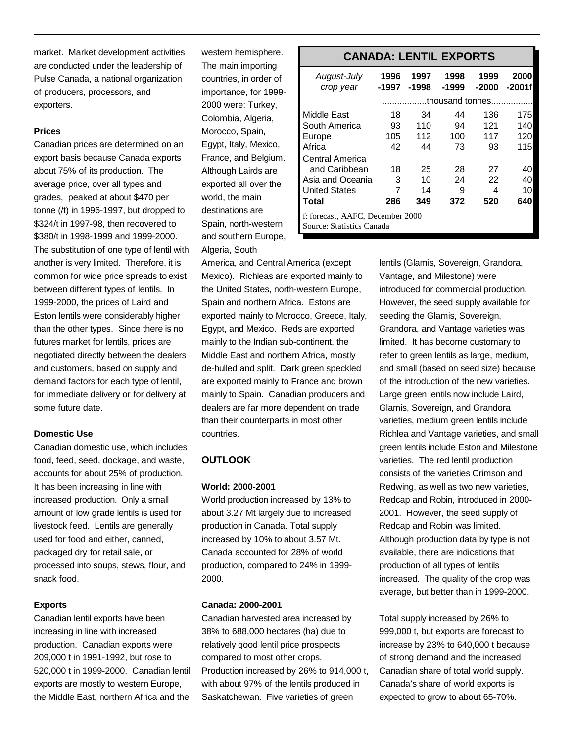market. Market development activities are conducted under the leadership of Pulse Canada, a national organization of producers, processors, and exporters.

# **Prices**

Canadian prices are determined on an export basis because Canada exports about 75% of its production. The average price, over all types and grades, peaked at about \$470 per tonne (/t) in 1996-1997, but dropped to \$324/t in 1997-98, then recovered to \$380/t in 1998-1999 and 1999-2000. The substitution of one type of lentil with another is very limited. Therefore, it is common for wide price spreads to exist between different types of lentils. In 1999-2000, the prices of Laird and Eston lentils were considerably higher than the other types. Since there is no futures market for lentils, prices are negotiated directly between the dealers and customers, based on supply and demand factors for each type of lentil, for immediate delivery or for delivery at some future date.

# **Domestic Use**

Canadian domestic use, which includes food, feed, seed, dockage, and waste, accounts for about 25% of production. It has been increasing in line with increased production. Only a small amount of low grade lentils is used for livestock feed. Lentils are generally used for food and either, canned, packaged dry for retail sale, or processed into soups, stews, flour, and snack food.

### **Exports**

Canadian lentil exports have been increasing in line with increased production. Canadian exports were 209,000 t in 1991-1992, but rose to 520,000 t in 1999-2000. Canadian lentil exports are mostly to western Europe, the Middle East, northern Africa and the

western hemisphere. The main importing countries, in order of importance, for 1999- 2000 were: Turkey, Colombia, Algeria, Morocco, Spain, Egypt, Italy, Mexico, France, and Belgium. Although Lairds are exported all over the world, the main destinations are Spain, north-western and southern Europe, Algeria, South

America, and Central America (except Mexico). Richleas are exported mainly to the United States, north-western Europe, Spain and northern Africa. Estons are exported mainly to Morocco, Greece, Italy, Egypt, and Mexico. Reds are exported mainly to the Indian sub-continent, the Middle East and northern Africa, mostly de-hulled and split. Dark green speckled are exported mainly to France and brown mainly to Spain. Canadian producers and dealers are far more dependent on trade than their counterparts in most other countries.

# **OUTLOOK**

#### **World: 2000-2001**

World production increased by 13% to about 3.27 Mt largely due to increased production in Canada. Total supply increased by 10% to about 3.57 Mt. Canada accounted for 28% of world production, compared to 24% in 1999- 2000.

# **Canada: 2000-2001**

Canadian harvested area increased by 38% to 688,000 hectares (ha) due to relatively good lentil price prospects compared to most other crops. Production increased by 26% to 914,000 t, with about 97% of the lentils produced in Saskatchewan. Five varieties of green

# **CANADA: LENTIL EXPORTS**

| August-July<br>crop year                                      | 1996<br>-1997   | 1997<br>-1998 | 1998<br>$-1999$ | 1999<br>$-2000$ | 2000<br>-2001f |  |
|---------------------------------------------------------------|-----------------|---------------|-----------------|-----------------|----------------|--|
|                                                               | thousand tonnes |               |                 |                 |                |  |
| Middle East                                                   | 18              | 34            | 44              | 136             | 175            |  |
| South America                                                 | 93              | 110           | 94              | 121             | 140            |  |
| Europe                                                        | 105             | 112           | 100             | 117             | 120            |  |
| Africa                                                        | 42              | 44            | 73              | 93              | 115            |  |
| Central America                                               |                 |               |                 |                 |                |  |
| and Caribbean                                                 | 18              | 25            | 28              | 27              | 40             |  |
| Asia and Oceania                                              | 3               | 10            | 24              | 22              | 40             |  |
| <b>United States</b>                                          | 7               | 14            | 9               | 4               | 10             |  |
| Total                                                         | 286             | 349           | 372             | 520             | 640            |  |
| f: forecast, AAFC, December 2000<br>Source: Statistics Canada |                 |               |                 |                 |                |  |

lentils (Glamis, Sovereign, Grandora, Vantage, and Milestone) were introduced for commercial production. However, the seed supply available for seeding the Glamis, Sovereign, Grandora, and Vantage varieties was limited. It has become customary to refer to green lentils as large, medium, and small (based on seed size) because of the introduction of the new varieties. Large green lentils now include Laird, Glamis, Sovereign, and Grandora varieties, medium green lentils include Richlea and Vantage varieties, and small green lentils include Eston and Milestone varieties. The red lentil production consists of the varieties Crimson and Redwing, as well as two new varieties, Redcap and Robin, introduced in 2000- 2001. However, the seed supply of Redcap and Robin was limited. Although production data by type is not available, there are indications that production of all types of lentils increased. The quality of the crop was average, but better than in 1999-2000.

Total supply increased by 26% to 999,000 t, but exports are forecast to increase by 23% to 640,000 t because of strong demand and the increased Canadian share of total world supply. Canada's share of world exports is expected to grow to about 65-70%.